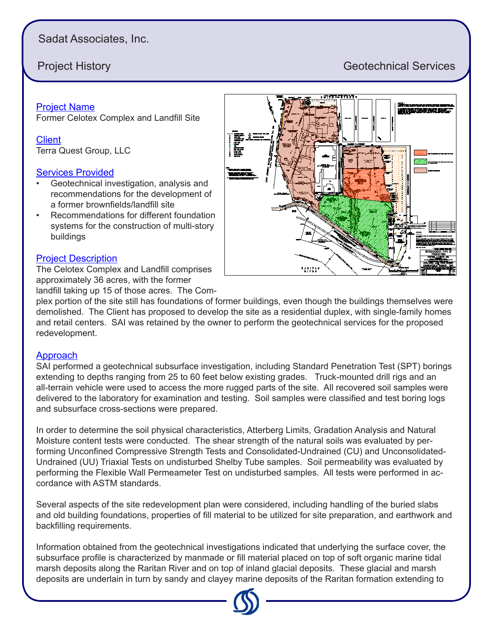## Sadat Associates, Inc.

# **Project History Geotechnical Services**

### Project Name

Former Celotex Complex and Landfill Site

**Client** Terra Quest Group, LLC

#### Services Provided

- Geotechnical investigation, analysis and recommendations for the development of a former brownfields/landfill site
- Recommendations for different foundation systems for the construction of multi-story buildings

#### Project Description

The Celotex Complex and Landfill comprises approximately 36 acres, with the former

landfill taking up 15 of those acres. The Com-

plex portion of the site still has foundations of former buildings, even though the buildings themselves were demolished. The Client has proposed to develop the site as a residential duplex, with single-family homes and retail centers. SAI was retained by the owner to perform the geotechnical services for the proposed redevelopment.

### **Approach**

SAI performed a geotechnical subsurface investigation, including Standard Penetration Test (SPT) borings extending to depths ranging from 25 to 60 feet below existing grades. Truck-mounted drill rigs and an all-terrain vehicle were used to access the more rugged parts of the site. All recovered soil samples were delivered to the laboratory for examination and testing. Soil samples were classified and test boring logs and subsurface cross-sections were prepared.

In order to determine the soil physical characteristics, Atterberg Limits, Gradation Analysis and Natural Moisture content tests were conducted. The shear strength of the natural soils was evaluated by performing Unconfined Compressive Strength Tests and Consolidated-Undrained (CU) and Unconsolidated-Undrained (UU) Triaxial Tests on undisturbed Shelby Tube samples. Soil permeability was evaluated by performing the Flexible Wall Permeameter Test on undisturbed samples. All tests were performed in accordance with ASTM standards.

Several aspects of the site redevelopment plan were considered, including handling of the buried slabs and old building foundations, properties of fill material to be utilized for site preparation, and earthwork and backfilling requirements.

Information obtained from the geotechnical investigations indicated that underlying the surface cover, the subsurface profile is characterized by manmade or fill material placed on top of soft organic marine tidal marsh deposits along the Raritan River and on top of inland glacial deposits. These glacial and marsh deposits are underlain in turn by sandy and clayey marine deposits of the Raritan formation extending to